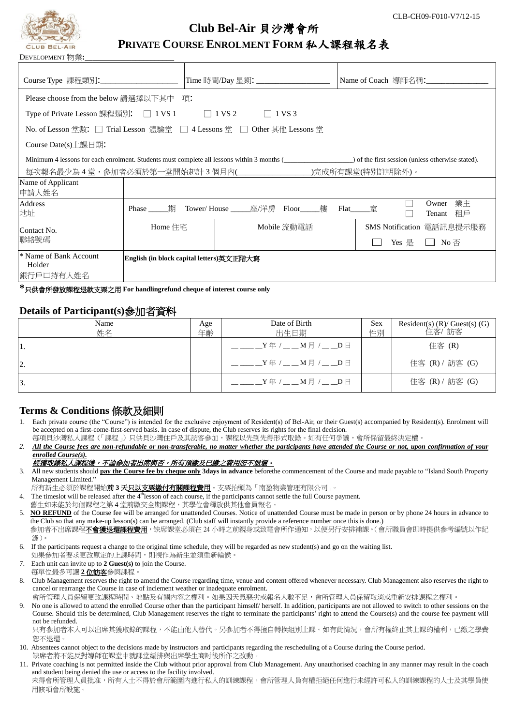

# **Club Bel-Air** 貝沙灣會所

## **PRIVATE COURSE ENROLMENT FORM** 私人課程報名表

| Course Type 課程類別:_______________________                                                                                                   |                                          | Time 時間/Day 星期:_____________________ |           | Name of Coach 導師名稱:                    |  |  |  |  |
|--------------------------------------------------------------------------------------------------------------------------------------------|------------------------------------------|--------------------------------------|-----------|----------------------------------------|--|--|--|--|
| Please choose from the below 請選擇以下其中一項:                                                                                                    |                                          |                                      |           |                                        |  |  |  |  |
| Type of Private Lesson 課程類別: □ 1 VS 1 □ 1 VS 2<br>$\vert$ 1 VS 3                                                                           |                                          |                                      |           |                                        |  |  |  |  |
| No. of Lesson 堂數: □ Trial Lesson 體驗堂 □ 4 Lessons 堂 □ Other 其他 Lessons 堂                                                                    |                                          |                                      |           |                                        |  |  |  |  |
| Course Date(s) $L$ 課日期:                                                                                                                    |                                          |                                      |           |                                        |  |  |  |  |
| Minimum 4 lessons for each enrolment. Students must complete all lessons within 3 months (see the first session (unless otherwise stated). |                                          |                                      |           |                                        |  |  |  |  |
| 每次報名最少為 4 堂,参加者必須於第一堂開始起計 3 個月內(_____________________)完成所有課堂(特別註明除外)。                                                                      |                                          |                                      |           |                                        |  |  |  |  |
| Name of Applicant                                                                                                                          |                                          |                                      |           |                                        |  |  |  |  |
| 申請人姓名                                                                                                                                      |                                          |                                      |           |                                        |  |  |  |  |
| Address<br>地址                                                                                                                              | 期<br>Phase                               | Tower/House    座/洋房 Floor<br>樓       | Flat<br>室 | 業主<br>Owner<br>租戶<br>Tenant            |  |  |  |  |
| Contact No.<br>聯絡號碼                                                                                                                        | Home 住宅                                  | Mobile 流動電話                          |           | SMS Notification 電話訊息提示服務              |  |  |  |  |
|                                                                                                                                            |                                          |                                      |           | Yes 是<br>$\Box$ No $\overline{\oplus}$ |  |  |  |  |
| <sup>*</sup> Name of Bank Account<br>Holder<br> 銀行戶口持有人姓名                                                                                  | English (in block capital letters)英文正階大寫 |                                      |           |                                        |  |  |  |  |

**\***只供會所發放課程退款支票之用 **For handlingrefund cheque of interest course only**

#### **Details of Participant(s)**參加者資料

| Name<br>Age<br>姓名<br>年齡 |  | Date of Birth<br>出生日期                              | <b>Sex</b><br>性別 | Resident(s) $(R)/$ Guest(s) $(G)$<br>住客/ 訪客 |  |
|-------------------------|--|----------------------------------------------------|------------------|---------------------------------------------|--|
| 11.                     |  | $Y \oplus \angle 2$ $M \oplus \angle 2$ $D \oplus$ |                  | 住客 (R)                                      |  |
| 2.                      |  | $Y^4$ / _ _ M 月 / _ _ D 日                          |                  | 住客 (R) / 訪客 (G)                             |  |
| 13.                     |  | $_Y$ 年 / _ _ _ M 月 / _ _ _D 日                      |                  | 住客 (R) / 訪客 (G)                             |  |

### **Terms & Conditions** 條款及細則

- Each private course (the "Course") is intended for the exclusive enjoyment of Resident(s) of Bel-Air, or their Guest(s) accompanied by Resident(s). Enrolment will be accepted on a first-come-first-served basis. In case of dispute, the Club reserves its rights for the final decision.
- 每項貝沙灣私人課程(「課程」)只供貝沙灣住戶及其訪客參加,課程以先到先得形式取錄。如有任何爭議,會所保留最終決定權。
- *2. All the Course fees are non-refundable or non-transferable, no matter whether the participants have attended the Course or not, upon confirmation of your enrolled Course(s).*

#### **經獲取錄私人課程後,不論參加者出席與否,所有預繳及已繳之費用恕不退還。**

- 3. All new students should **pay the Course fee by cheque only 3days in advance** beforethe commencement of the Course and made payable to "Island South Property Management Limited."
- 所有新生必須於課程開始**前 3 天<u>只以支票繳付有關課程費用</u>。支票抬頭為「南盈物業管理有限公司」。**
- 4. The timeslot will be released after the  $4<sup>th</sup>$ lesson of each course, if the participants cannot settle the full Course payment.
- 舊生如未能於每個課程之第4堂前繳交全期課程,其學位會釋放供其他會員報名。
- 5. **NO REFUND** of the Course fee will be arranged for unattended Courses. Notice of unattended Course must be made in person or by phone 24 hours in advance to the Club so that any make-up lesson(s) can be arranged. (Club staff will instantly provide a reference number once this is done.) 参加者不出席課程**不會獲退還課程費用**,缺席課堂必須在 24 小時之前親身或致電會所作通知,以便另行安排補課。( 會所職員會即時提供參考編號以作紀
- 6. If the participants request a change to the original time schedule, they will be regarded as new student(s) and go on the waiting list. 如果參加者要求更改原定的上課時間,則視作為新生並須重新輪候。
- 7. Each unit can invite up to **2 Guest(s)** to join the Course.
- 每單位最多可讓 **2** 位訪客參與課程。

錄)。

- 8. Club Management reserves the right to amend the Course regarding time, venue and content offered whenever necessary. Club Management also reserves the right to cancel or rearrange the Course in case of inclement weather or inadequate enrolment.
	- 會所管理人員保留更改課程時間、地點及有關內容之權利。如果因天氣惡劣或報名人數不足,會所管理人員保留取消或重新安排課程之權利。
- 9. No one is allowed to attend the enrolled Course other than the participant himself/ herself. In addition, participants are not allowed to switch to other sessions on the Course. Should this be determined, Club Management reserves the right to terminate the participants' right to attend the Course(s) and the course fee payment will not be refunded.

只有參加者本人可以出席其獲取錄的課程,不能由他人替代。另參加者不得擅自轉換組別上課。如有此情況,會所有權終止其上課的權利,已繳之學費 恕不退還。

- 10. Absentees cannot object to the decisions made by instructors and participants regarding the rescheduling of a Course during the Course period. 缺席者將不能反對導師在課堂中就課堂編排與出席學生商討後所作之改動。
- 11. Private coaching is not permitted inside the Club without prior approval from Club Management. Any unauthorised coaching in any manner may result in the coach and student being denied the use or access to the facility involved.

未得會所管理人員批准,所有人士不得於會所範圍內進行私人的訓練課程。會所管理人員有權拒絕任何進行未經許可私人的訓練課程的人士及其學員使 用該項會所設施。